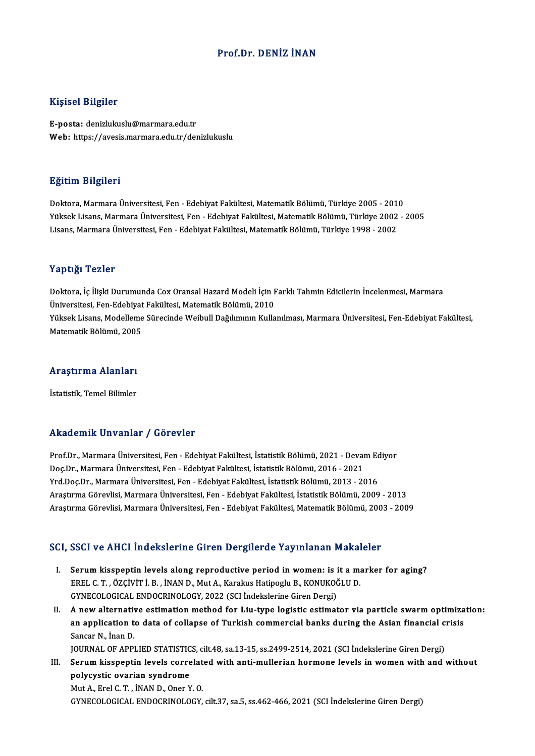### Prof.Dr. DENİZ İNAN

#### Kişisel Bilgiler

E-posta: denizlukuslu@marmara.edu.tr Web: https://avesis.marmara.edu.tr/denizlukuslu

#### Eğitim Bilgileri

<mark>Eğitim Bilgileri</mark><br>Doktora, Marmara Üniversitesi, Fen - Edebiyat Fakültesi, Matematik Bölümü, Türkiye 2005 - 2010<br>Yüksek Lisans, Marmara Üniversitesi, Fen - Edebiyat Fakültesi, Matematik Bölümü, Türkiye 2002 25.<br>29. Doktora, Marmara Üniversitesi, Fen - Edebiyat Fakültesi, Matematik Bölümü, Türkiye 2005 - 2010<br>Yüksek Lisans, Marmara Üniversitesi, Fen - Edebiyat Fakültesi, Matematik Bölümü, Türkiye 2002 - 2005<br>Lisans, Marmara Ün Yüksek Lisans, Marmara Üniversitesi, Fen - Edebiyat Fakültesi, Matematik Bölümü, Türkiye 2002 - 2005<br>Lisans, Marmara Üniversitesi, Fen - Edebiyat Fakültesi, Matematik Bölümü, Türkiye 1998 - 2002

#### Yaptığı Tezler

Yaptığı Tezler<br>Doktora, İç İlişki Durumunda Cox Oransal Hazard Modeli İçin Farklı Tahmin Edicilerin İncelenmesi, Marmara<br>Üniversitesi Fen Edebiyat Fakültesi Matematik Pölümü, 2010 Tüp esar Teneer<br>Doktora, İç İlişki Durumunda Cox Oransal Hazard Modeli İçin F<br>Üniversitesi, Fen-Edebiyat Fakültesi, Matematik Bölümü, 2010<br>Yükael: Lisans, Madellame Sünesinde Weihull Değiliminin Kulle Doktora, İç İlişki Durumunda Cox Oransal Hazard Modeli İçin Farklı Tahmin Edicilerin İncelenmesi, Marmara<br>Üniversitesi, Fen-Edebiyat Fakültesi, Matematik Bölümü, 2010<br>Yüksek Lisans, Modelleme Sürecinde Weibull Dağılımının Üniversitesi, Fen-Edebiyat<br>Yüksek Lisans, Modelleme<br>Matematik Bölümü, 2005

## <sub>Matematik Bolumu, 2005</sub><br>Araştırma Alanları <mark>Araştırma Alanları</mark><br>İstatistik, Temel Bilimler

## Akademik Unvanlar / Görevler

Akademik Unvanlar / Görevler<br>Prof.Dr., Marmara Üniversitesi, Fen - Edebiyat Fakültesi, İstatistik Bölümü, 2021 - Devam Ediyor<br>Des.Dr., Marmara Üniversitesi, Fen - Edebiyat Fakültesi, İstatistik Bölümü, 2016 - 2021 rındu olirin "Olivulmur" / "dör ovtor"<br>Prof.Dr., Marmara Üniversitesi, Fen - Edebiyat Fakültesi, İstatistik Bölümü, 2021 - Devai<br>Doç.Dr., Marmara Üniversitesi, Fen - Edebiyat Fakültesi, İstatistik Bölümü, 2016 - 2021<br>Vrd D Prof.Dr., Marmara Üniversitesi, Fen - Edebiyat Fakültesi, İstatistik Bölümü, 2021 - Devam Ed<br>Doç.Dr., Marmara Üniversitesi, Fen - Edebiyat Fakültesi, İstatistik Bölümü, 2016 - 2021<br>Yrd.Doç.Dr., Marmara Üniversitesi, Fen - Doç.Dr., Marmara Üniversitesi, Fen - Edebiyat Fakültesi, İstatistik Bölümü, 2016 - 2021<br>Yrd.Doç.Dr., Marmara Üniversitesi, Fen - Edebiyat Fakültesi, İstatistik Bölümü, 2013 - 2016<br>Araştırma Görevlisi, Marmara Üniversitesi, Araştırma Görevlisi, Marmara Üniversitesi, Fen - Edebiyat Fakültesi, İstatistik Bölümü, 2009 - 2013<br>Araştırma Görevlisi, Marmara Üniversitesi, Fen - Edebiyat Fakültesi, Matematik Bölümü, 2003 - 2009

# Araşurma Göreviisi, Marmara Universitesi, Fen - Edebiyat Fakultesi, Matematik Bolumu, 200<br>SCI, SSCI ve AHCI İndekslerine Giren Dergilerde Yayınlanan Makaleler

- CI, SSCI ve AHCI İndekslerine Giren Dergilerde Yayınlanan Makaleler<br>I. Serum kisspeptin levels along reproductive period in women: is it a marker for aging?<br>FREL C.T. ÖZCİVİTİ P. İNAND Mut A. Karalyıs Hatinesly B. KONUKOČL EREL C. T., ÖZÇİVİT İ. B., İNAN D., Mut A., Karakus Hatipoglu B., KONUKOĞLU D.<br>EREL C. T., ÖZÇİVİT İ. B., İNAN D., Mut A., Karakus Hatipoglu B., KONUKOĞLU D.<br>CYNECQLOGICAL ENDOCEJNOLOGY. 2022.(SCLİndəkələrinə Giron Dərgi) Serum kisspeptin levels along reproductive period in women: is in EREL C. T. , ÖZÇİVİT İ. B. , İNAN D., Mut A., Karakus Hatipoglu B., KONUKOČ<br>GYNECOLOGICAL ENDOCRINOLOGY, 2022 (SCI İndekslerine Giren Dergi)<br>A new alternati GYNECOLOGICAL ENDOCRINOLOGY, 2022 (SCI indekslerine Giren Dergi)<br>II. A new alternative estimation method for Liu-type logistic estimator via particle swarm optimization:
- GYNECOLOGICAL ENDOCRINOLOGY, 2022 (SCI İndekslerine Giren Dergi)<br>A new alternative estimation method for Liu-type logistic estimator via particle swarm optimiza<br>an application to data of collapse of Turkish commercial bank **A new alternativ<br>an application t<br>Sancar N., İnan D.<br>JOUPNAL OF APPI** an application to data of collapse of Turkish commercial banks during the Asian financial c<br>Sancar N., İnan D.<br>JOURNAL OF APPLIED STATISTICS, cilt.48, sa.13-15, ss.2499-2514, 2021 (SCI İndekslerine Giren Dergi)<br>Sanum kisan

Sancar N., İnan D.<br>I I. Serum kisspeptin levels correlated with anti-mullerian hormone levels in women with and without<br>III. Serum kisspeptin levels correlated with anti-mullerian hormone levels in women with and without<br>n JOURNAL OF APPLIED STATISTICS, cilt.48, sa.13-15, ss.2499-2514, 2021 (SCI Indekslerine Giren Dergi)<br>Serum kisspeptin levels correlated with anti-mullerian hormone levels in women with and<br>polycystic ovarian syndrome<br>Mut A. Serum kisspeptin levels correlat<br>polycystic ovarian syndrome<br>Mut A., Erel C.T. , İNAN D., Oner Y. O.<br>CYNECOLOCICAL ENDOCRINOLOCY

GYNECOLOGICAL ENDOCRINOLOGY, cilt.37, sa.5, ss.462-466,2021 (SCI İndekslerineGirenDergi)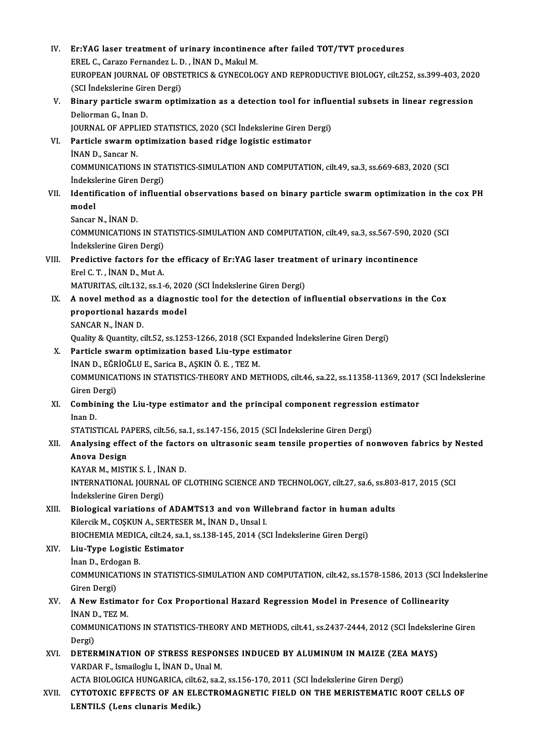| IV.   | Er:YAG laser treatment of urinary incontinence after failed TOT/TVT procedures                          |
|-------|---------------------------------------------------------------------------------------------------------|
|       | EREL C., Carazo Fernandez L. D., İNAN D., Makul M.                                                      |
|       | EUROPEAN JOURNAL OF OBSTETRICS & GYNECOLOGY AND REPRODUCTIVE BIOLOGY, cilt.252, ss.399-403, 2020        |
|       | (SCI İndekslerine Giren Dergi)                                                                          |
| V.    | Binary particle swarm optimization as a detection tool for influential subsets in linear regression     |
|       | Deliorman G., Inan D.                                                                                   |
|       | JOURNAL OF APPLIED STATISTICS, 2020 (SCI İndekslerine Giren Dergi)                                      |
| VI.   | Particle swarm optimization based ridge logistic estimator                                              |
|       | İNAN D., Sancar N.                                                                                      |
|       | COMMUNICATIONS IN STATISTICS-SIMULATION AND COMPUTATION, cilt.49, sa.3, ss.669-683, 2020 (SCI           |
|       | İndekslerine Giren Dergi)                                                                               |
| VII.  | Identification of influential observations based on binary particle swarm optimization in the cox PH    |
|       | model                                                                                                   |
|       | Sancar N, INAN D.                                                                                       |
|       | COMMUNICATIONS IN STATISTICS-SIMULATION AND COMPUTATION, cilt.49, sa.3, ss.567-590, 2020 (SCI           |
|       | Indekslerine Giren Dergi)                                                                               |
| VIII. | Predictive factors for the efficacy of Er:YAG laser treatment of urinary incontinence                   |
|       | Erel C. T., İNAN D., Mut A.                                                                             |
|       | MATURITAS, cilt.132, ss.1-6, 2020 (SCI İndekslerine Giren Dergi)                                        |
| IX.   | A novel method as a diagnostic tool for the detection of influential observations in the Cox            |
|       | proportional hazards model                                                                              |
|       | SANCAR N., İNAN D.                                                                                      |
|       | Quality & Quantity, cilt.52, ss.1253-1266, 2018 (SCI Expanded Indekslerine Giren Dergi)                 |
| X.    | Particle swarm optimization based Liu-type estimator                                                    |
|       | İNAN D., EĞRİOĞLU E., Sarica B., AŞKIN Ö. E., TEZ M.                                                    |
|       | COMMUNICATIONS IN STATISTICS-THEORY AND METHODS, cilt.46, sa.22, ss.11358-11369, 2017 (SCI İndekslerine |
|       | Giren Dergi)                                                                                            |
| XI.   | Combining the Liu-type estimator and the principal component regression estimator                       |
|       | Inan D.                                                                                                 |
|       | STATISTICAL PAPERS, cilt.56, sa.1, ss.147-156, 2015 (SCI Indekslerine Giren Dergi)                      |
| XII.  | Analysing effect of the factors on ultrasonic seam tensile properties of nonwoven fabrics by Nested     |
|       | <b>Anova Design</b>                                                                                     |
|       | KAYAR M., MISTIK S. İ., İNAN D.                                                                         |
|       | INTERNATIONAL JOURNAL OF CLOTHING SCIENCE AND TECHNOLOGY, cilt.27, sa.6, ss.803-817, 2015 (SCI          |
|       | İndekslerine Giren Dergi)                                                                               |
| XIII. | Biological variations of ADAMTS13 and von Willebrand factor in human adults                             |
|       | Kilercik M., COȘKUN A., SERTESER M., İNAN D., Unsal I.                                                  |
|       | BIOCHEMIA MEDICA, cilt.24, sa.1, ss.138-145, 2014 (SCI Indekslerine Giren Dergi)                        |
| XIV.  | Liu-Type Logistic Estimator                                                                             |
|       | İnan D., Erdogan B.                                                                                     |
|       | COMMUNICATIONS IN STATISTICS-SIMULATION AND COMPUTATION, cilt.42, ss.1578-1586, 2013 (SCI Indekslerine  |
|       | Giren Dergi)                                                                                            |
| XV.   | A New Estimator for Cox Proportional Hazard Regression Model in Presence of Collinearity                |
|       | INAN D., TEZ M.                                                                                         |
|       | COMMUNICATIONS IN STATISTICS-THEORY AND METHODS, cilt.41, ss.2437-2444, 2012 (SCI Indekslerine Giren    |
|       | Dergi)                                                                                                  |
| XVI.  | DETERMINATION OF STRESS RESPONSES INDUCED BY ALUMINUM IN MAIZE (ZEA MAYS)                               |
|       | VARDAR F., Ismailoglu I., İNAN D., Unal M.                                                              |
|       | ACTA BIOLOGICA HUNGARICA, cilt.62, sa.2, ss.156-170, 2011 (SCI İndekslerine Giren Dergi)                |
| XVII. | CYTOTOXIC EFFECTS OF AN ELECTROMAGNETIC FIELD ON THE MERISTEMATIC ROOT CELLS OF                         |
|       | LENTILS (Lens clunaris Medik.)                                                                          |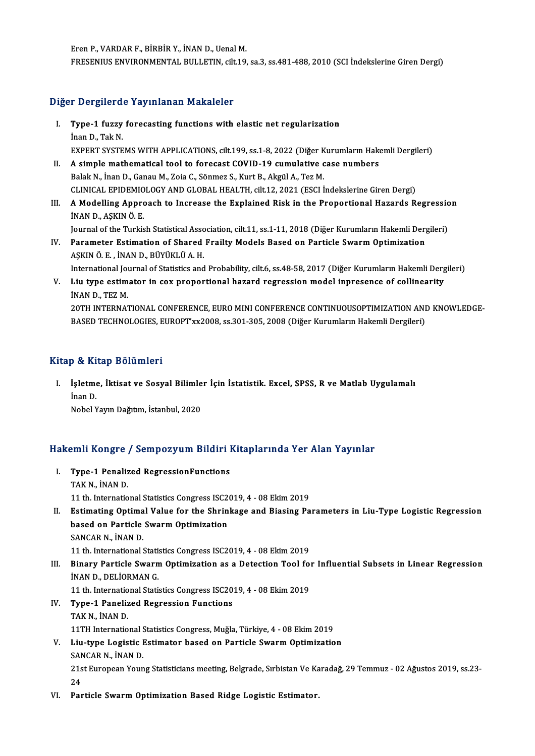ErenP.,VARDARF.,BİRBİRY., İNAND.,UenalM. FRESENIUS ENVIRONMENTAL BULLETIN, cilt.19, sa.3, ss.481-488, 2010 (SCI İndekslerine Giren Dergi)

## Diğer Dergilerde Yayınlanan Makaleler

- Iger Dergilerde Yayınlanan Makaleler<br>I. Type-1 fuzzy forecasting functions with elastic net regularization India<br>Type-1 fuzzy<br>Inan D., Tak N.<br>EXPEPT SYSTE Type-1 fuzzy forecasting functions with elastic net regularization<br>İnan D., Tak N.<br>EXPERT SYSTEMS WITH APPLICATIONS, cilt.199, ss.1-8, 2022 (Diğer Kurumların Hakemli Dergileri)<br>A simple mathematical tool te foresest COVID Inan D., Tak N.<br>EXPERT SYSTEMS WITH APPLICATIONS, cilt.199, ss.1-8, 2022 (Diğer Kurumların Hake<br>II. A simple mathematical tool to forecast COVID-19 cumulative case numbers<br>Palak N. İnan D. Canau M. Zaja C. Sänmar S. Kurt B
- EXPERT SYSTEMS WITH APPLICATIONS, cilt.199, ss.1-8, 2022 (Diğer K<br>A simple mathematical tool to forecast COVID-19 cumulative c<br>Balak N., İnan D., Ganau M., Zoia C., Sönmez S., Kurt B., Akgül A., Tez M.<br>CUNICAL ERIDEMIOLOCY A simple mathematical tool to forecast COVID-19 cumulative case numbers<br>Balak N., İnan D., Ganau M., Zoia C., Sönmez S., Kurt B., Akgül A., Tez M.<br>CLINICAL EPIDEMIOLOGY AND GLOBAL HEALTH, cilt.12, 2021 (ESCI İndekslerine G Balak N., İnan D., Ganau M., Zoia C., Sönmez S., Kurt B., Akgül A., Tez M.<br>CLINICAL EPIDEMIOLOGY AND GLOBAL HEALTH, cilt.12, 2021 (ESCI İndekslerine Giren Dergi)<br>III. A Modelling Approach to Increase the Explained Risk
- CLINICAL EPIDEMIO<br>A Modelling Appro<br>İNAN D., AŞKIN Ö. E.<br>Journal of the Turkis A Modelling Approach to Increase the Explained Risk in the Proportional Hazards Regressic<br>İNAN D., AŞKIN Ö. E.<br>Journal of the Turkish Statistical Association, cilt.11, ss.1-11, 2018 (Diğer Kurumların Hakemli Dergileri)<br>Per

INAN D., AŞKIN Ö. E.<br>Journal of the Turkish Statistical Association, cilt.11, ss.1-11, 2018 (Diğer Kurumların Hakemli Derg<br>IV. Parameter Estimation of Shared Frailty Models Based on Particle Swarm Optimization Journal of the Turkish Statistical Asso<br>Parameter Estimation of Shared<br>AŞKIN Ö. E. , İNAN D., BÜYÜKLÜ A. H.<br>International Journal of Statistics and Parameter Estimation of Shared Frailty Models Based on Particle Swarm Optimization<br>AŞKIN Ö. E. , İNAN D., BÜYÜKLÜ A. H.<br>International Journal of Statistics and Probability, cilt.6, ss.48-58, 2017 (Diğer Kurumların Hakemli AŞKIN Ö. E. , İNAN D., BÜYÜKLÜ A. H.<br>International Journal of Statistics and Probability, cilt.6, ss.48-58, 2017 (Diğer Kurumların Hakemli Derg<br>V. Liu type estimator in cox proportional hazard regression model inpresen

International Jou<br>Liu type estim<br>İNAN D., TEZ M.<br>20TH INTERNA? V. Liu type estimator in cox proportional hazard regression model inpresence of collinearity<br>19TH INTERNATIONAL CONFERENCE, EURO MINI CONFERENCE CONTINUOUSOPTIMIZATION AND KNOWLEDGE-<br>20TH INTERNATIONAL CONFERENCE, EURO MIN BASED TECHNOLOGIES, EUROPT'xx2008, ss.301-305, 2008 (Diğer Kurumların Hakemli Dergileri)

### Kitap & Kitap Bölümleri

itap & Kitap Bölümleri<br>I. İşletme, İktisat ve Sosyal Bilimler İçin İstatistik. Excel, SPSS, R ve Matlab Uygulamalı<br>İnan D isletme<br>İsletme<br>Nobel v İşletme, İktisat ve Sosyal Bilimle<br>İnan D.<br>Nobel Yayın Dağıtım, İstanbul, 2020

# 1996 Yayın Dağlum, İstanbul, 2020<br>Hakemli Kongre / Sempozyum Bildiri Kitaplarında Yer Alan Yayınlar

- akemli Kongre / Sempozyum Bildiri I<br>I. Type-1 Penalized RegressionFunctions<br> TAK N. INAN D I. Type-1 Penalized RegressionFunctions<br>TAKN., İNAN D. 11 th. International Statistics Congress ISC2019, 4 - 08 Ekim 2019 II. Estimating Optimal Value for the Shrinkage and Biasing Parameters in Liu-Type Logistic Regression 11 th. International Statistics Congress ISC2<br>Estimating Optimal Value for the Shrin<br>based on Particle Swarm Optimization<br>SANGAP N. INAN D Estimating Optima<br>based on Particle<br>SANCAR N., İNAN D.<br>11 th International i SANCAR N., İNAN D.<br>11 th. International Statistics Congress ISC2019, 4 - 08 Ekim 2019 SANCAR N., İNAN D.<br>11 th. International Statistics Congress ISC2019, 4 - 08 Ekim 2019<br>III. Binary Particle Swarm Optimization as a Detection Tool for Influential Subsets in Linear Regression<br>INAN D. PELIOPMAN C. 11 th. International Statis<br>Binary Particle Swarn<br>İNAN D., DELİORMAN G.<br>11 th. International Statis Binary Particle Swarm Optimization as a Detection Tool for<br>INAN D., DELIORMAN G.<br>11 th. International Statistics Congress ISC2019, 4 - 08 Ekim 2019<br>Tune 1 Banelized Bernessian Eunctions INAN D., DELIORMAN G.<br>11 th. International Statistics Congress ISC20<br>IV. Type-1 Panelized Regression Functions<br>TAKN INAND 11 th. Internatio<br>Type-1 Paneliz<br>TAK N., İNAN D.<br>11TH Internatio IV. Type-1 Panelized Regression Functions<br>TAK N., İNAN D.<br>11TH International Statistics Congress, Muğla, Türkiye, 4 - 08 Ekim 2019 TAK N., İNAN D.<br>11TH International Statistics Congress, Muğla, Türkiye, 4 - 08 Ekim 2019<br>V. Liu-type Logistic Estimator based on Particle Swarm Optimization<br>SANGAR N. İNAN D. 11TH International S<br>Liu-type Logistic I<br>SANCAR N., İNAN D.<br>21st Euronean Youn Liu-type Logistic Estimator based on Particle Swarm Optimization<br>SANCAR N., İNAN D.<br>21st European Young Statisticians meeting, Belgrade, Sırbistan Ve Karadağ, 29 Temmuz - 02 Ağustos 2019, ss.23-<br>24 SAN<br>21s<br>24<br>Por 21st European Young Statisticians meeting, Belgrade, Sırbistan Ve Ka<br>24<br>VI. Particle Swarm Optimization Based Ridge Logistic Estimator.
-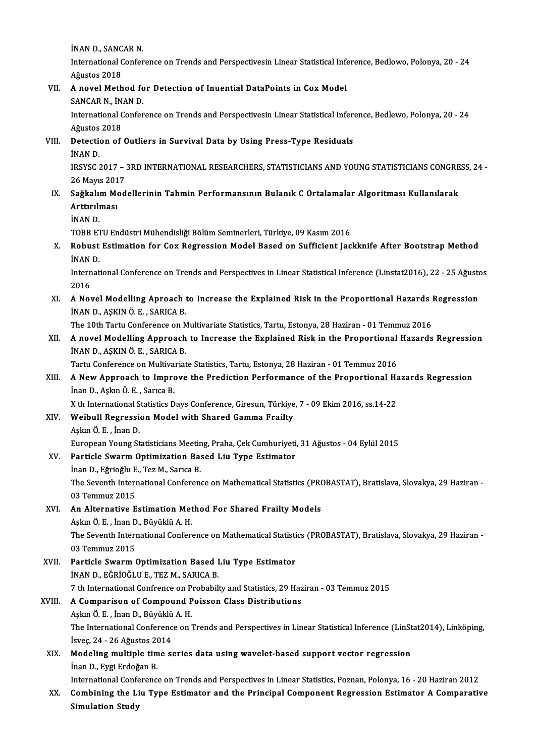**İNAN D., SANCAR N.**<br>International Confor

International Conference on Trends and Perspectivesin Linear Statistical Inference, Bedlowo, Polonya, 20 - 24<br>Ağustos 2018 INAN D., SANC<br>International C<br>Ağustos 2018 International Conference on Trends and Perspectivesin Linear Statistical Info Ağustos 2018<br>VII. A novel Method for Detection of Inuential DataPoints in Cox Model<br>SANCAR N. İNAN D

Ağustos 2018<br>A novel Method fo<br>SANCAR N., İNAN D.<br>International Confor

A novel Method for Detection of Inuential DataPoints in Cox Model<br>SANCAR N., İNAN D.<br>International Conference on Trends and Perspectivesin Linear Statistical Inference, Bedlewo, Polonya, 20 - 24<br>Ağustos 2019 SANCAR N., İN.<br>International C<br>Ağustos 2018<br>Detestion of International Conference on Trends and Perspectivesin Linear Statistical Infer-<br>Ağustos 2018<br>VIII. Detection of Outliers in Survival Data by Using Press-Type Residuals<br>INAN D

Ağustos<br>Detection<br>İNAN D.

Detection of Outliers in Survival Data by Using Press-Type Residuals<br>INAN D.<br>IRSYSC 2017 – 3RD INTERNATIONAL RESEARCHERS, STATISTICIANS AND YOUNG STATISTICIANS CONGRESS, 24 -<br>26 Mayıs 2017 İNAN D.<br>IRSYSC 2017 – :<br>26 Mayıs 2017<br>Sağlmlım Mad IRSYSC 2017 – 3RD INTERNATIONAL RESEARCHERS, STATISTICIANS AND YOUNG STATISTICIANS CONGRE<br>26 Mayıs 2017<br>IX. Sağkalım Modellerinin Tahmin Performansının Bulanık C Ortalamalar Algoritması Kullanılarak<br>Anttırılması

## 26 Mayıs 2017<br>Sağkalım Mod<br>Arttırılması<br>İNAN D. Sağkalı<mark>ı</mark><br>Arttırılı<br>İNAN D.<br>TOPP F1 Arttırılması<br>İNAN D.<br>TOBB ETU Endüstri Mühendisliği Bölüm Seminerleri, Türkiye, 09 Kasım 2016<br>Robust Estimation fan Cav Bazzassian Madel Based en Suffisiant Jas

X. Robust Estimation for Cox Regression Model Based on Sufficient Jackknife After Bootstrap Method<br>INAN D. TOBB ET<br>Robust<br>İNAN D.<br>Internet Robust Estimation for Cox Regression Model Based on Sufficient Jackknife After Bootstrap Method<br>INAN D.<br>International Conference on Trends and Perspectives in Linear Statistical Inference (Linstat2016), 22 - 25 Ağustos<br>201

STAN<br>Thern<br>2016 International Conference on Trends and Perspectives in Linear Statistical Inference (Linstat2016), 22 - 25 Ağusto<br>2016<br>XI. A Novel Modelling Aproach to Increase the Explained Risk in the Proportional Hazards Regression<br>INA

2016<br>A Novel Modelling Aproach<br>İNAN D., AŞKIN Ö.E. , SARICA B.<br>The 10th Tartu Conference on N A Novel Modelling Aproach to Increase the Explained Risk in the Proportional Hazards I<br>INAN D., AŞKIN Ö. E. , SARICA B.<br>The 10th Tartu Conference on Multivariate Statistics, Tartu, Estonya, 28 Haziran - 01 Temmuz 2016<br>A no

## INAN D., AŞKIN Ö. E. , SARICA B.<br>The 10th Tartu Conference on Multivariate Statistics, Tartu, Estonya, 28 Haziran - 01 Temmuz 2016<br>XII. A novel Modelling Approach to Increase the Explained Risk in the Proportional Haza The 10th Tartu Conference on M<br>A novel Modelling Approach<br>İNAN D., AŞKIN Ö.E. , SARICA B.<br>Tartu Conference on Multivariat A novel Modelling Approach to Increase the Explained Risk in the Proportional<br>INAN D., AŞKIN Ö. E., SARICA B.<br>Tartu Conference on Multivariate Statistics, Tartu, Estonya, 28 Haziran - 01 Temmuz 2016<br>A Now Approach to Impro

## INAN D., AŞKIN Ö. E. , SARICA B.<br>Tartu Conference on Multivariate Statistics, Tartu, Estonya, 28 Haziran - 01 Temmuz 2016<br>XIII. A New Approach to Improve the Prediction Performance of the Proportional Hazards Regressio Tartu Conference on Multivariate Statistics, Tartu, Estonya, 28 Haziran - 01 Temmuz 2016<br> **A New Approach to Improve the Prediction Performance of the Proportional Haum D., Aşkın Ö.E.**, Sarıca B.<br>
X th International Statis A New Approach to Improve the Prediction Performance of the Proportional Ha<br>Inan D., Aşkın Ö. E. , Sarıca B.<br>X th International Statistics Days Conference, Giresun, Türkiye, 7 - 09 Ekim 2016, ss.14-22<br>Weihull Begression Mo

## Inan D., Aşkın Ö. E. , Sarıca B.<br>X th International Statistics Days Conference, Giresun, Türkiye<br>XIV. Weibull Regression Model with Shared Gamma Frailty X th International S<br>Weibull Regressi<br>Aşkın Ö. E. , İnan D.<br>Euronean Young St Aşkın Ö. E. , İnan D.<br>European Young Statisticians Meeting, Praha, Çek Cumhuriyeti, 31 Ağustos - 04 Eylül 2015 Aşkın Ö. E. , İnan D.<br>European Young Statisticians Meeting, Praha, Çek Cumhuriyeti<br>XV. Particle Swarm Optimization Based Liu Type Estimator<br>Inan D. Eğriağlu E. Teg M. Sarıca P.

European Young Statisticians Meetin<br>Particle Swarm Optimization Ba:<br>İnan D., Eğrioğlu E., Tez M., Sarıca B.<br>The Seventh International Conferen The Seventh International Conference on Mathematical Statistics (PROBASTAT), Bratislava, Slovakya, 29 Haziran -<br>03 Temmuz 2015 İnan D., Eğrioğlu E., Tez M., Sarıca B. The Seventh International Conference on Mathematical Statistics (PRO<br>03 Temmuz 2015<br>XVI. An Alternative Estimation Method For Shared Frailty Models

## 03 Temmuz 2015<br>An Alternative Estimation Met<br>Aşkın Ö. E. , İnan D., Büyüklü A. H.<br>The Seventh International Cenfer

An Alternative Estimation Method For Shared Frailty Models<br>Aşkın Ö. E. , İnan D., Büyüklü A. H.<br>The Seventh International Conference on Mathematical Statistics (PROBASTAT), Bratislava, Slovakya, 29 Haziran -<br>03 Temmuz 2015 Aşkın Ö. E. , İnan D<br>The Seventh Inter<br>03 Temmuz 2015<br>Particle Swarm (

03 Temmuz 2015<br>XVII. Particle Swarm Optimization Based Liu Type Estimator İNAND.,EĞRİOĞLUE.,TEZM.,SARICAB. Particle Swarm Optimization Based Liu Type Estimator<br>İNAN D., EĞRİOĞLU E., TEZ M., SARICA B.<br>7 th International Confrence on Probabilty and Statistics, 29 Haziran - 03 Temmuz 2015<br>A Comparison of Compound Boisson Class Dis

## XVIII. A Comparison of Compound Poisson Class Distributions 7 th International Confrence on P.<br>A Comparison of Compound P<br>Aşkın Ö. E. , İnan D., Büyüklü A. H.<br>The International Conference on I

Aşkın Ö E, İnan D, Büyüklü A H.

The International Conference on Trends and Perspectives in Linear Statistical Inference (LinStat2014), Linköping, İsveç, 24 - 26 Ağustos 2014

XIX. Modelingmultiple time series data using wavelet-based support vector regression İnanD.,EygiErdoğanB.

International Conference on Trends and Perspectives in Linear Statistics, Poznan, Polonya, 16 - 20 Haziran 2012

Inan D., Eygi Erdoğan B.<br>International Conference on Trends and Perspectives in Linear Statistics, Poznan, Polonya, 16 - 20 Haziran 2012<br>XX. Combining the Liu Type Estimator and the Principal Component Regression Estim International Confe<br>Combining the Li<br>Simulation Study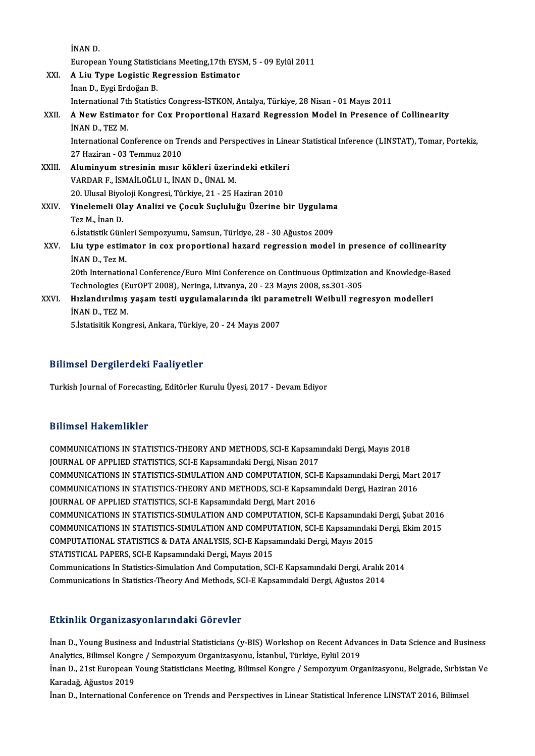|        | INAN D.                                                                                                         |
|--------|-----------------------------------------------------------------------------------------------------------------|
|        | European Young Statisticians Meeting, 17th EYSM, 5 - 09 Eylül 2011                                              |
| XXI.   | A Liu Type Logistic Regression Estimator                                                                        |
|        | İnan D., Eygi Erdoğan B.                                                                                        |
|        | International 7th Statistics Congress-İSTKON, Antalya, Türkiye, 28 Nisan - 01 Mayıs 2011                        |
| XXII.  | A New Estimator for Cox Proportional Hazard Regression Model in Presence of Collinearity                        |
|        | INAN D., TEZ M.                                                                                                 |
|        | International Conference on Trends and Perspectives in Linear Statistical Inference (LINSTAT), Tomar, Portekiz, |
|        | 27 Haziran - 03 Temmuz 2010                                                                                     |
| XXIII. | Aluminyum stresinin mısır kökleri üzerindeki etkileri                                                           |
|        | VARDAR F., İSMAİLOĞLU I., İNAN D., ÜNAL M.                                                                      |
|        | 20. Ulusal Biyoloji Kongresi, Türkiye, 21 - 25 Haziran 2010                                                     |
| XXIV.  | Yinelemeli Olay Analizi ve Çocuk Suçluluğu Üzerine bir Uygulama                                                 |
|        | Tez M., İnan D.                                                                                                 |
|        | 6. İstatistik Günleri Sempozyumu, Samsun, Türkiye, 28 - 30 Ağustos 2009                                         |
| XXV.   | Liu type estimator in cox proportional hazard regression model in presence of collinearity                      |
|        | INAN D., Tez M.                                                                                                 |
|        | 20th International Conference/Euro Mini Conference on Continuous Optimization and Knowledge-Based               |
|        | Technologies (EurOPT 2008), Neringa, Litvanya, 20 - 23 Mayıs 2008, ss.301-305                                   |
| XXVI.  | Hızlandırılmış yaşam testi uygulamalarında iki parametreli Weibull regresyon modelleri                          |
|        | INAN D., TEZ M.                                                                                                 |
|        | 5. İstatisitik Kongresi, Ankara, Türkiye, 20 - 24 Mayıs 2007                                                    |

### Bilimsel Dergilerdeki Faaliyetler

Turkish Journal of Forecasting, Editörler Kurulu Üyesi, 2017 - Devam Ediyor

#### Bilimsel Hakemlikler

COMMUNICATIONS IN STATISTICS-THEORY AND METHODS, SCI-E Kapsamındaki Dergi, Mayıs 2018 JOURNAL OF APPLIED STATISTICS, SCI-E Kapsamındaki Dergi, Nisan 2017 COMMUNICATIONS IN STATISTICS-THEORY AND METHODS, SCI-E Kapsamındaki Dergi, Mayıs 2018<br>JOURNAL OF APPLIED STATISTICS, SCI-E Kapsamındaki Dergi, Nisan 2017<br>COMMUNICATIONS IN STATISTICS-SIMULATION AND COMPUTATION, SCI-E Kapsa JOURNAL OF APPLIED STATISTICS, SCI-E Kapsamındaki Dergi, Nisan 2017<br>COMMUNICATIONS IN STATISTICS-SIMULATION AND COMPUTATION, SCI-E Kapsamındaki Dergi, Mart<br>COMMUNICATIONS IN STATISTICS-THEORY AND METHODS, SCI-E Kapsamındak COMMUNICATIONS IN STATISTICS-SIMULATION AND COMPUTATION, SCI-<br>COMMUNICATIONS IN STATISTICS-THEORY AND METHODS, SCI-E Kapsam<br>JOURNAL OF APPLIED STATISTICS, SCI-E Kapsamındaki Dergi, Mart 2016<br>COMMUNICATIONS IN STATISTICS SI COMMUNICATIONS IN STATISTICS-THEORY AND METHODS, SCI-E Kapsamındaki Dergi, Haziran 2016<br>JOURNAL OF APPLIED STATISTICS, SCI-E Kapsamındaki Dergi, Mart 2016<br>COMMUNICATIONS IN STATISTICS-SIMULATION AND COMPUTATION, SCI-E Kaps JOURNAL OF APPLIED STATISTICS, SCI-E Kapsamındaki Dergi, Mart 2016<br>COMMUNICATIONS IN STATISTICS-SIMULATION AND COMPUTATION, SCI-E Kapsamındaki Dergi, Şubat 2016<br>COMMUNICATIONAL STATISTICS & DATA ANALYSIS, SCI E Kapsamındak COMMUNICATIONS IN STATISTICS-SIMULATION AND COMPUTATION, SCI-E Kapsamındaki<br>COMMUNICATIONS IN STATISTICS-SIMULATION AND COMPUTATION, SCI-E Kapsamındaki<br>COMPUTATIONAL STATISTICS & DATA ANALYSIS, SCI-E Kapsamındaki Dergi, Ma COMMUNICATIONS IN STATISTICS-SIMULATION AND COMPUTATION, SCI-E Kapsamındaki Dergi, Ekim 2015<br>COMPUTATIONAL STATISTICS & DATA ANALYSIS, SCI-E Kapsamındaki Dergi, Mayıs 2015<br>STATISTICAL PAPERS, SCI-E Kapsamındaki Dergi, Mayı COMPUTATIONAL STATISTICS & DATA ANALYSIS, SCI-E Kapsamındaki Dergi, Mayıs 2015<br>STATISTICAL PAPERS, SCI-E Kapsamındaki Dergi, Mayıs 2015<br>Communications In Statistics-Simulation And Computation, SCI-E Kapsamındaki Dergi, Ara STATISTICAL PAPERS, SCI-E Kapsamındaki Dergi, Mayıs 2015<br>Communications In Statistics-Simulation And Computation, SCI-E Kapsamındaki Dergi, Aralık 2<br>Communications In Statistics-Theory And Methods, SCI-E Kapsamındaki Dergi Communications In Statistics-Theory And Methods, SCI-E Kapsamındaki Dergi, Ağustos 2014<br>Etkinlik Organizasyonlarındaki Görevler

Etkinlik Organizasyonlarındaki Görevler<br>İnan D., Young Business and Industrial Statisticians (y-BIS) Workshop on Recent Advances in Data Science and Business<br>Analytice Bilimeal Kangre / Semnegyum Organizesyonu, İstanbul Tü Analytics, Bilimsel Kongre / Sempozyum Organizasyonu, İstanbul, Türkiye, Eylül 2019<br>Analytics, Bilimsel Kongre / Sempozyum Organizasyonu, İstanbul, Türkiye, Eylül 2019<br>İnan D. 21st European Young Statisticione Meeting, Bil İnan D., Young Business and Industrial Statisticians (y-BIS) Workshop on Recent Advances in Data Science and Business<br>Analytics, Bilimsel Kongre / Sempozyum Organizasyonu, İstanbul, Türkiye, Eylül 2019<br>İnan D., 21st Europe

Analytics, Bilimsel Kongre / Sempozyum Organizasyonu, İstanbul, Türkiye, Eylül 2019<br>İnan D., 21st European Young Statisticians Meeting, Bilimsel Kongre / Sempozyum Organizasyonu, Belgrade, Sırbista<br>Karadağ, Ağustos 2019<br>İn İnan D., 21st European Young Statisticians Meeting, Bilimsel Kongre / Sempozyum Organizasyonu, Belgrade, Sırbistan Ve